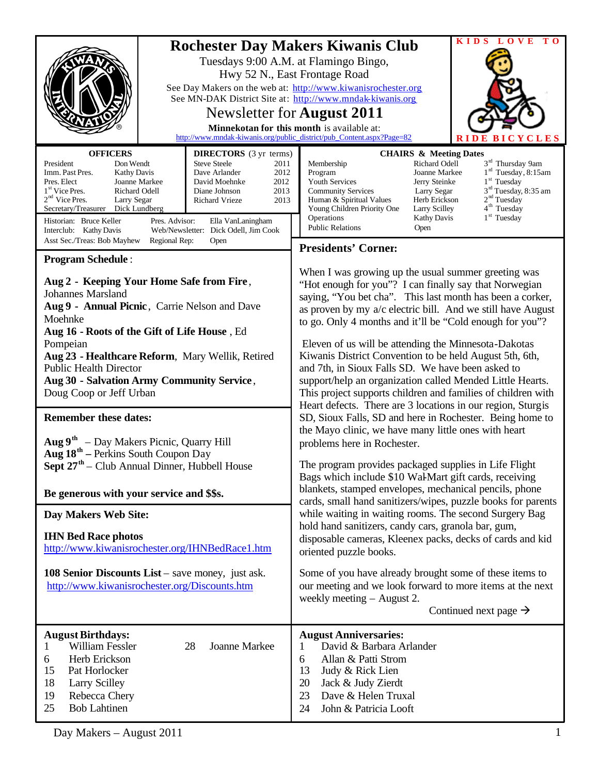| <b>OFFICERS</b>                                                                                                                                                                                                                                                                                                                                                                                                                                                                                                                                                                                                                                                                                                                                              | Tuesdays 9:00 A.M. at Flamingo Bingo,<br>Hwy 52 N., East Frontage Road<br>Newsletter for <b>August 2011</b><br>Minnekotan for this month is available at:<br><b>DIRECTORS</b> (3 yr terms)    | <b>Rochester Day Makers Kiwanis Club</b><br>See Day Makers on the web at: http://www.kiwanisrochester.org<br>See MN-DAK District Site at: http://www.mndak-kiwanis.org<br>http://www.mndak-kiwanis.org/public_district/pub_Content.aspx?Page=82                                                                                                                                                                                                                                                                                                                                                                                                                                                                                                                                                                                                                                                                                                                                                                                                                                                                                                                                                                                                                                   | KIDS LOVE<br>T O<br><b>YCLES</b><br><b>CHAIRS &amp; Meeting Dates</b>                                                                                                                                                                                                                                              |
|--------------------------------------------------------------------------------------------------------------------------------------------------------------------------------------------------------------------------------------------------------------------------------------------------------------------------------------------------------------------------------------------------------------------------------------------------------------------------------------------------------------------------------------------------------------------------------------------------------------------------------------------------------------------------------------------------------------------------------------------------------------|-----------------------------------------------------------------------------------------------------------------------------------------------------------------------------------------------|-----------------------------------------------------------------------------------------------------------------------------------------------------------------------------------------------------------------------------------------------------------------------------------------------------------------------------------------------------------------------------------------------------------------------------------------------------------------------------------------------------------------------------------------------------------------------------------------------------------------------------------------------------------------------------------------------------------------------------------------------------------------------------------------------------------------------------------------------------------------------------------------------------------------------------------------------------------------------------------------------------------------------------------------------------------------------------------------------------------------------------------------------------------------------------------------------------------------------------------------------------------------------------------|--------------------------------------------------------------------------------------------------------------------------------------------------------------------------------------------------------------------------------------------------------------------------------------------------------------------|
| President<br>Don Wendt<br>Imm. Past Pres.<br><b>Kathy Davis</b><br>Pres. Elect<br>Joanne Markee<br>1 <sup>st</sup> Vice Pres.<br>Richard Odell<br>$2nd$ Vice Pres.<br>Larry Segar<br>Secretary/Treasurer Dick Lundberg<br>Historian: Bruce Keller<br>Pres. Advisor:<br>Interclub: Kathy Davis                                                                                                                                                                                                                                                                                                                                                                                                                                                                | <b>Steve Steele</b><br>2011<br>Dave Arlander<br>2012<br>David Moehnke<br>2012<br>Diane Johnson<br>2013<br>Richard Vrieze<br>2013<br>Ella VanLaningham<br>Web/Newsletter: Dick Odell, Jim Cook | Membership<br>Program<br>Youth Services<br><b>Community Services</b><br>Human & Spiritual Values<br>Young Children Priority One<br>Operations<br><b>Public Relations</b><br>Open                                                                                                                                                                                                                                                                                                                                                                                                                                                                                                                                                                                                                                                                                                                                                                                                                                                                                                                                                                                                                                                                                                  | 3 <sup>rd</sup> Thursday 9am<br>Richard Odell<br>$1rd$ Tuesday, 8:15am<br>Joanne Markee<br>$1st$ Tuesday<br>Jerry Steinke<br>3 <sup>rd</sup> Tuesday, 8:35 am<br>Larry Segar<br>2 <sup>nd</sup> Tuesday<br>Herb Erickson<br>4 <sup>th</sup> Tuesday<br><b>Larry Scilley</b><br>$1st$ Tuesday<br><b>Kathy Davis</b> |
| Asst Sec./Treas: Bob Mayhew<br>Regional Rep:<br>Open                                                                                                                                                                                                                                                                                                                                                                                                                                                                                                                                                                                                                                                                                                         |                                                                                                                                                                                               | <b>Presidents' Corner:</b>                                                                                                                                                                                                                                                                                                                                                                                                                                                                                                                                                                                                                                                                                                                                                                                                                                                                                                                                                                                                                                                                                                                                                                                                                                                        |                                                                                                                                                                                                                                                                                                                    |
| <b>Program Schedule:</b><br>Aug 2 - Keeping Your Home Safe from Fire,<br><b>Johannes Marsland</b><br>Aug 9 - Annual Picnic, Carrie Nelson and Dave<br>Moehnke<br>Aug 16 - Roots of the Gift of Life House, Ed<br>Pompeian<br>Aug 23 - Healthcare Reform, Mary Wellik, Retired<br><b>Public Health Director</b><br>Aug 30 - Salvation Army Community Service,<br>Doug Coop or Jeff Urban<br><b>Remember these dates:</b><br>$\text{Aug } 9^{\text{th}}$ – Day Makers Picnic, Quarry Hill<br>Aug 18 <sup>th</sup> – Perkins South Coupon Day<br>Sept 27 <sup>th</sup> – Club Annual Dinner, Hubbell House<br>Be generous with your service and \$\$s.<br>Day Makers Web Site:<br><b>IHN Bed Race photos</b><br>http://www.kiwanisrochester.org/IHNBedRace1.htm |                                                                                                                                                                                               | When I was growing up the usual summer greeting was<br>"Hot enough for you"? I can finally say that Norwegian<br>saying, "You bet cha". This last month has been a corker,<br>as proven by my a/c electric bill. And we still have August<br>to go. Only 4 months and it'll be "Cold enough for you"?<br>Eleven of us will be attending the Minnesota-Dakotas<br>Kiwanis District Convention to be held August 5th, 6th,<br>and 7th, in Sioux Falls SD. We have been asked to<br>support/help an organization called Mended Little Hearts.<br>This project supports children and families of children with<br>Heart defects. There are 3 locations in our region, Sturgis<br>SD, Sioux Falls, SD and here in Rochester. Being home to<br>the Mayo clinic, we have many little ones with heart<br>problems here in Rochester.<br>The program provides packaged supplies in Life Flight<br>Bags which include \$10 Wal-Mart gift cards, receiving<br>blankets, stamped envelopes, mechanical pencils, phone<br>cards, small hand sanitizers/wipes, puzzle books for parents<br>while waiting in waiting rooms. The second Surgery Bag<br>hold hand sanitizers, candy cars, granola bar, gum,<br>disposable cameras, Kleenex packs, decks of cards and kid<br>oriented puzzle books. |                                                                                                                                                                                                                                                                                                                    |
| 108 Senior Discounts List – save money, just ask.<br>http://www.kiwanisrochester.org/Discounts.htm                                                                                                                                                                                                                                                                                                                                                                                                                                                                                                                                                                                                                                                           |                                                                                                                                                                                               | Some of you have already brought some of these items to<br>our meeting and we look forward to more items at the next<br>weekly meeting – August 2.<br>Continued next page $\rightarrow$                                                                                                                                                                                                                                                                                                                                                                                                                                                                                                                                                                                                                                                                                                                                                                                                                                                                                                                                                                                                                                                                                           |                                                                                                                                                                                                                                                                                                                    |
| <b>August Birthdays:</b><br>William Fessler<br>28<br>Joanne Markee<br>1<br>Herb Erickson<br>6<br>15<br>Pat Horlocker<br>18<br><b>Larry Scilley</b><br>19<br>Rebecca Chery<br>25<br><b>Bob Lahtinen</b>                                                                                                                                                                                                                                                                                                                                                                                                                                                                                                                                                       |                                                                                                                                                                                               | <b>August Anniversaries:</b><br>David & Barbara Arlander<br>1<br>Allan & Patti Strom<br>6<br>13<br>Judy & Rick Lien<br>20<br>Jack & Judy Zierdt<br>23<br>Dave & Helen Truxal<br>John & Patricia Looft<br>24                                                                                                                                                                                                                                                                                                                                                                                                                                                                                                                                                                                                                                                                                                                                                                                                                                                                                                                                                                                                                                                                       |                                                                                                                                                                                                                                                                                                                    |

Day Makers – August 2011 1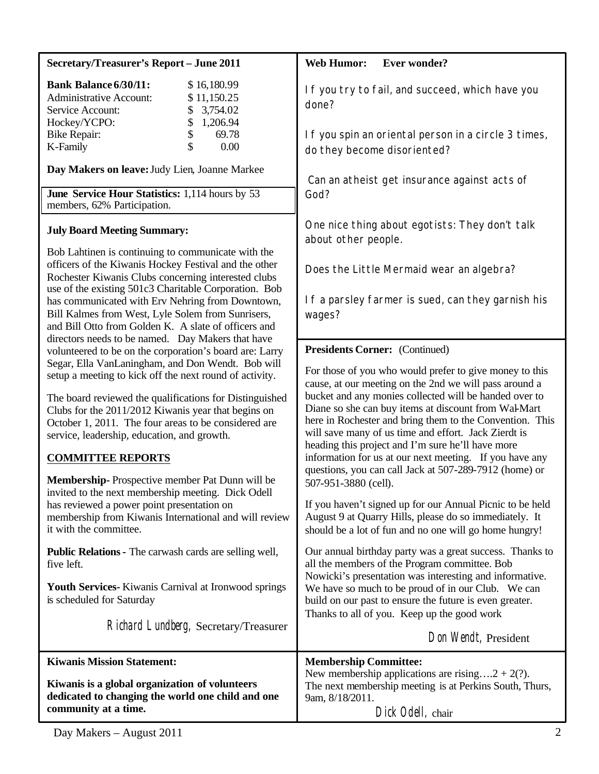| <b>Secretary/Treasurer's Report - June 2011</b>                                                                                                                                                                                                                                                                       | <b>Web Humor:</b><br><b>Ever wonder?</b>                                                                                                                                                                                                                                                                                                                                                         |  |
|-----------------------------------------------------------------------------------------------------------------------------------------------------------------------------------------------------------------------------------------------------------------------------------------------------------------------|--------------------------------------------------------------------------------------------------------------------------------------------------------------------------------------------------------------------------------------------------------------------------------------------------------------------------------------------------------------------------------------------------|--|
| <b>Bank Balance 6/30/11:</b><br>\$16,180.99<br><b>Administrative Account:</b><br>\$11,150.25<br>3,754.02<br>Service Account:<br>\$                                                                                                                                                                                    | If you try to fail, and succeed, which have you<br>done?                                                                                                                                                                                                                                                                                                                                         |  |
| \$<br>Hockey/YCPO:<br>1,206.94<br>\$<br>69.78<br><b>Bike Repair:</b><br>\$<br>0.00<br>K-Family                                                                                                                                                                                                                        | If you spin an oriental person in a circle 3 times,<br>do they become disoriented?                                                                                                                                                                                                                                                                                                               |  |
| Day Makers on leave: Judy Lien, Joanne Markee<br>June Service Hour Statistics: 1,114 hours by 53<br>members, 62% Participation.                                                                                                                                                                                       | Can an atheist get insurance against acts of<br>God?                                                                                                                                                                                                                                                                                                                                             |  |
| <b>July Board Meeting Summary:</b><br>Bob Lahtinen is continuing to communicate with the<br>officers of the Kiwanis Hockey Festival and the other<br>Rochester Kiwanis Clubs concerning interested clubs<br>use of the existing 501c3 Charitable Corporation. Bob<br>has communicated with Erv Nehring from Downtown, | One nice thing about egotists: They don't talk<br>about other people.<br>Does the Little Mermaid wear an algebra?<br>If a parsley farmer is sued, can they garnish his                                                                                                                                                                                                                           |  |
| Bill Kalmes from West, Lyle Solem from Sunrisers,<br>and Bill Otto from Golden K. A slate of officers and<br>directors needs to be named. Day Makers that have                                                                                                                                                        | wages?                                                                                                                                                                                                                                                                                                                                                                                           |  |
| volunteered to be on the corporation's board are: Larry<br>Segar, Ella VanLaningham, and Don Wendt. Bob will<br>setup a meeting to kick off the next round of activity.                                                                                                                                               | <b>Presidents Corner:</b> (Continued)<br>For those of you who would prefer to give money to this<br>cause, at our meeting on the 2nd we will pass around a<br>bucket and any monies collected will be handed over to<br>Diane so she can buy items at discount from Wal-Mart<br>here in Rochester and bring them to the Convention. This<br>will save many of us time and effort. Jack Zierdt is |  |
| The board reviewed the qualifications for Distinguished<br>Clubs for the 2011/2012 Kiwanis year that begins on<br>October 1, 2011. The four areas to be considered are<br>service, leadership, education, and growth.                                                                                                 |                                                                                                                                                                                                                                                                                                                                                                                                  |  |
| <b>COMMITTEE REPORTS</b><br>Membership-Prospective member Pat Dunn will be                                                                                                                                                                                                                                            | heading this project and I'm sure he'll have more<br>information for us at our next meeting. If you have any<br>questions, you can call Jack at 507-289-7912 (home) or                                                                                                                                                                                                                           |  |
| invited to the next membership meeting. Dick Odell<br>has reviewed a power point presentation on<br>membership from Kiwanis International and will review<br>it with the committee.                                                                                                                                   | 507-951-3880 (cell).<br>If you haven't signed up for our Annual Picnic to be held<br>August 9 at Quarry Hills, please do so immediately. It<br>should be a lot of fun and no one will go home hungry!                                                                                                                                                                                            |  |
| Public Relations - The carwash cards are selling well,<br>five left.                                                                                                                                                                                                                                                  | Our annual birthday party was a great success. Thanks to<br>all the members of the Program committee. Bob                                                                                                                                                                                                                                                                                        |  |
| Youth Services- Kiwanis Carnival at Ironwood springs<br>is scheduled for Saturday                                                                                                                                                                                                                                     | Nowicki's presentation was interesting and informative.<br>We have so much to be proud of in our Club. We can<br>build on our past to ensure the future is even greater.<br>Thanks to all of you. Keep up the good work                                                                                                                                                                          |  |
| Richard Lundberg, Secretary/Treasurer                                                                                                                                                                                                                                                                                 | Don Wendt, President                                                                                                                                                                                                                                                                                                                                                                             |  |
| <b>Kiwanis Mission Statement:</b><br>Kiwanis is a global organization of volunteers<br>dedicated to changing the world one child and one<br>community at a time.                                                                                                                                                      | <b>Membership Committee:</b><br>New membership applications are rising2 + 2(?).<br>The next membership meeting is at Perkins South, Thurs,<br>9am, 8/18/2011.<br>Dick Odell, chair                                                                                                                                                                                                               |  |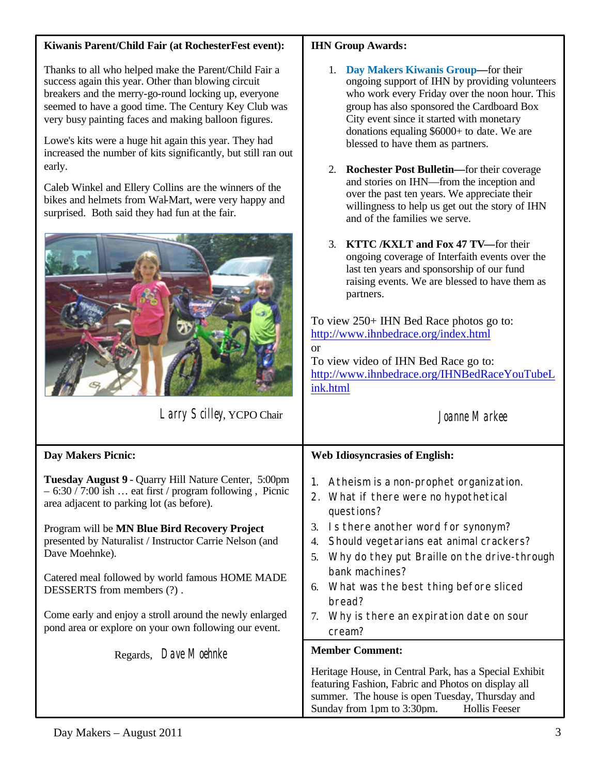## **Kiwanis Parent/Child Fair (at RochesterFest event):**

Thanks to all who helped make the Parent/Child Fair a success again this year. Other than blowing circuit breakers and the merry-go-round locking up, everyone seemed to have a good time. The Century Key Club was very busy painting faces and making balloon figures.

Lowe's kits were a huge hit again this year. They had increased the number of kits significantly, but still ran out early.

Caleb Winkel and Ellery Collins are the winners of the bikes and helmets from Wal-Mart, were very happy and surprised. Both said they had fun at the fair.



Larry Scilley, YCPO Chair

## **IHN Group Awards:**

- 1. **Day Makers Kiwanis Group—**for their ongoing support of IHN by providing volunteers who work every Friday over the noon hour. This group has also sponsored the Cardboard Box City event since it started with monetary donations equaling \$6000+ to date. We are blessed to have them as partners.
- 2. **Rochester Post Bulletin—**for their coverage and stories on IHN—from the inception and over the past ten years. We appreciate their willingness to help us get out the story of IHN and of the families we serve.
- 3. **KTTC /KXLT and Fox 47 TV—**for their ongoing coverage of Interfaith events over the last ten years and sponsorship of our fund raising events. We are blessed to have them as partners.

To view 250+ IHN Bed Race photos go to: <http://www.ihnbedrace.org/index.html> or To view video of IHN Bed Race go to:

<http://www.ihnbedrace.org/IHNBedRaceYouTubeL> ink.html

# Joanne Markee

| <b>Day Makers Picnic:</b>                                                                                                                                      | <b>Web Idiosyncrasies of English:</b>                                                                                                                                                                                  |  |
|----------------------------------------------------------------------------------------------------------------------------------------------------------------|------------------------------------------------------------------------------------------------------------------------------------------------------------------------------------------------------------------------|--|
| Tuesday August 9 - Quarry Hill Nature Center, 5:00pm<br>$-6:30 / 7:00$ ish  eat first / program following, Picnic<br>area adjacent to parking lot (as before). | Atheism is a non-prophet organization.<br>$1_{\cdot}$<br>2. What if there were no hypothetical<br>questions?                                                                                                           |  |
| Program will be MN Blue Bird Recovery Project<br>presented by Naturalist / Instructor Carrie Nelson (and<br>Dave Moehnke).                                     | Is there another word for synonym?<br>3.<br>Should vegetarians eat animal crackers?<br>4.<br>Why do they put Braille on the drive-through<br>5.<br>bank machines?                                                      |  |
| Catered meal followed by world famous HOME MADE<br>DESSERTS from members (?).                                                                                  | 6. What was the best thing before sliced<br>bread?                                                                                                                                                                     |  |
| Come early and enjoy a stroll around the newly enlarged<br>pond area or explore on your own following our event.                                               | Why is there an expiration date on sour<br>7.<br>cream?                                                                                                                                                                |  |
| Regards, Dave Moehnke                                                                                                                                          | <b>Member Comment:</b>                                                                                                                                                                                                 |  |
|                                                                                                                                                                | Heritage House, in Central Park, has a Special Exhibit<br>featuring Fashion, Fabric and Photos on display all<br>summer. The house is open Tuesday, Thursday and<br>Sunday from 1pm to 3:30pm.<br><b>Hollis Feeser</b> |  |